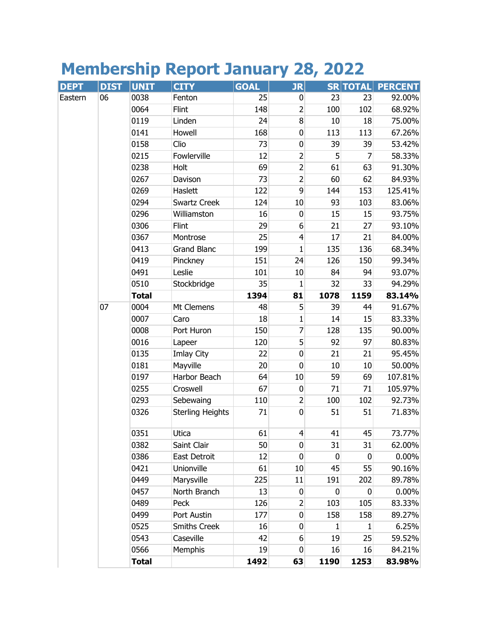## **Membership Report January 28, 2022**

| <b>DEPT</b> | <b>DIST</b> | <b>UNIT</b>  | <b>CITY</b>             | <b>GOAL</b> | <b>JR</b>        |             | <b>SRITOTALI</b> | <b>PERCENT</b> |
|-------------|-------------|--------------|-------------------------|-------------|------------------|-------------|------------------|----------------|
| Eastern     | 06          | 0038         | Fenton                  | 25          | $\bf{0}$         | 23          | 23               | 92.00%         |
|             |             | 0064         | Flint                   | 148         | $\overline{2}$   | 100         | 102              | 68.92%         |
|             |             | 0119         | Linden                  | 24          | 8 <sup>1</sup>   | 10          | 18               | 75.00%         |
|             |             | 0141         | Howell                  | 168         | $\mathbf 0$      | 113         | 113              | 67.26%         |
|             |             | 0158         | Clio                    | 73          | $\pmb{0}$        | 39          | 39               | 53.42%         |
|             |             | 0215         | Fowlerville             | 12          | $\overline{c}$   | 5           | $\overline{7}$   | 58.33%         |
|             |             | 0238         | Holt                    | 69          | $\overline{2}$   | 61          | 63               | 91.30%         |
|             |             | 0267         | Davison                 | 73          | $\overline{2}$   | 60          | 62               | 84.93%         |
|             |             | 0269         | Haslett                 | 122         | 9                | 144         | 153              | 125.41%        |
|             |             | 0294         | Swartz Creek            | 124         | 10               | 93          | 103              | 83.06%         |
|             |             | 0296         | Williamston             | 16          | $\bf{0}$         | 15          | 15               | 93.75%         |
|             |             | 0306         | Flint                   | 29          | $6 \overline{6}$ | 21          | 27               | 93.10%         |
|             |             | 0367         | Montrose                | 25          | $\overline{4}$   | 17          | 21               | 84.00%         |
|             |             | 0413         | <b>Grand Blanc</b>      | 199         | 1                | 135         | 136              | 68.34%         |
|             |             | 0419         | Pinckney                | 151         | 24               | 126         | 150              | 99.34%         |
|             |             | 0491         | Leslie                  | 101         | 10               | 84          | 94               | 93.07%         |
|             |             | 0510         | Stockbridge             | 35          | $\mathbf{1}$     | 32          | 33               | 94.29%         |
|             |             | <b>Total</b> |                         | 1394        | 81               | 1078        | 1159             | 83.14%         |
|             | 07          | 0004         | Mt Clemens              | 48          | 5                | 39          | 44               | 91.67%         |
|             |             | 0007         | Caro                    | 18          | 1                | 14          | 15               | 83.33%         |
|             |             | 0008         | Port Huron              | 150         | 7                | 128         | 135              | 90.00%         |
|             |             | 0016         | Lapeer                  | 120         | 5                | 92          | 97               | 80.83%         |
|             |             | 0135         | Imlay City              | 22          | $\mathbf 0$      | 21          | 21               | 95.45%         |
|             |             | 0181         | Mayville                | 20          | $\mathbf 0$      | 10          | 10               | 50.00%         |
|             |             | 0197         | Harbor Beach            | 64          | 10               | 59          | 69               | 107.81%        |
|             |             | 0255         | Croswell                | 67          | $\mathbf 0$      | 71          | 71               | 105.97%        |
|             |             | 0293         | Sebewaing               | 110         | $\overline{2}$   | 100         | 102              | 92.73%         |
|             |             | 0326         | <b>Sterling Heights</b> | 71          | $\mathbf 0$      | 51          | 51               | 71.83%         |
|             |             | 0351         | Utica                   | 61          | $\overline{4}$   | 41          | 45               | 73.77%         |
|             |             | 0382         | Saint Clair             | 50          | 0                | 31          | 31               | 62.00%         |
|             |             | 0386         | East Detroit            | 12          | 0                | $\mathbf 0$ | $\mathbf 0$      | 0.00%          |
|             |             | 0421         | Unionville              | 61          | 10               | 45          | 55               | 90.16%         |
|             |             | 0449         | Marysville              | 225         | 11               | 191         | 202              | 89.78%         |
|             |             | 0457         | North Branch            | 13          | $\mathbf 0$      | $\pmb{0}$   | 0                | 0.00%          |
|             |             | 0489         | Peck                    | 126         | 2                | 103         | 105              | 83.33%         |
|             |             | 0499         | Port Austin             | 177         | $\bf{0}$         | 158         | 158              | 89.27%         |
|             |             | 0525         | <b>Smiths Creek</b>     | 16          | $\bf{0}$         | 1           | 1                | 6.25%          |
|             |             | 0543         | Caseville               | 42          | 6                | 19          | 25               | 59.52%         |
|             |             | 0566         | Memphis                 | 19          | $\mathbf 0$      | 16          | 16               | 84.21%         |
|             |             | <b>Total</b> |                         | 1492        | 63               | 1190        | 1253             | 83.98%         |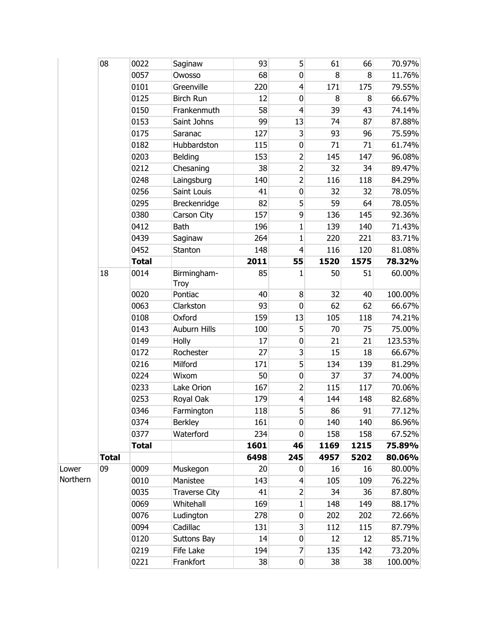|          | 08           | 0022         | Saginaw              | 93   | 5                | 61   | 66   | 70.97%  |
|----------|--------------|--------------|----------------------|------|------------------|------|------|---------|
|          |              | 0057         | Owosso               | 68   | 0                | 8    | 8    | 11.76%  |
|          |              | 0101         | Greenville           | 220  | $\overline{4}$   | 171  | 175  | 79.55%  |
|          |              | 0125         | <b>Birch Run</b>     | 12   | $\pmb{0}$        | 8    | 8    | 66.67%  |
|          |              | 0150         | Frankenmuth          | 58   | $\overline{4}$   | 39   | 43   | 74.14%  |
|          |              | 0153         | Saint Johns          | 99   | 13               | 74   | 87   | 87.88%  |
|          |              | 0175         | Saranac              | 127  | 3                | 93   | 96   | 75.59%  |
|          |              | 0182         | Hubbardston          | 115  | $\mathbf 0$      | 71   | 71   | 61.74%  |
|          |              | 0203         | Belding              | 153  | $\overline{2}$   | 145  | 147  | 96.08%  |
|          |              | 0212         | Chesaning            | 38   | $\overline{2}$   | 32   | 34   | 89.47%  |
|          |              | 0248         | Laingsburg           | 140  | $\overline{2}$   | 116  | 118  | 84.29%  |
|          |              | 0256         | Saint Louis          | 41   | $\pmb{0}$        | 32   | 32   | 78.05%  |
|          |              | 0295         | Breckenridge         | 82   | 5                | 59   | 64   | 78.05%  |
|          |              | 0380         | Carson City          | 157  | 9                | 136  | 145  | 92.36%  |
|          |              | 0412         | Bath                 | 196  | $\mathbf{1}$     | 139  | 140  | 71.43%  |
|          |              | 0439         | Saginaw              | 264  | $\mathbf{1}$     | 220  | 221  | 83.71%  |
|          |              | 0452         | Stanton              | 148  | $\overline{4}$   | 116  | 120  | 81.08%  |
|          |              | <b>Total</b> |                      | 2011 | 55               | 1520 | 1575 | 78.32%  |
|          | 18           | 0014         | Birmingham-<br>Troy  | 85   | $\mathbf{1}$     | 50   | 51   | 60.00%  |
|          |              | 0020         | Pontiac              | 40   | 8                | 32   | 40   | 100.00% |
|          |              | 0063         | Clarkston            | 93   | $\mathbf 0$      | 62   | 62   | 66.67%  |
|          |              | 0108         | Oxford               | 159  | 13               | 105  | 118  | 74.21%  |
|          |              | 0143         | Auburn Hills         | 100  | 5                | 70   | 75   | 75.00%  |
|          |              | 0149         | Holly                | 17   | $\pmb{0}$        | 21   | 21   | 123.53% |
|          |              | 0172         | Rochester            | 27   | 3                | 15   | 18   | 66.67%  |
|          |              | 0216         | Milford              | 171  | 5                | 134  | 139  | 81.29%  |
|          |              | 0224         | Wixom                | 50   | $\pmb{0}$        | 37   | 37   | 74.00%  |
|          |              | 0233         | Lake Orion           | 167  | $\overline{2}$   | 115  | 117  | 70.06%  |
|          |              | 0253         | Royal Oak            | 179  | $\overline{4}$   | 144  | 148  | 82.68%  |
|          |              | 0346         | Farmington           | 118  | 5                | 86   | 91   | 77.12%  |
|          |              | 0374         | <b>Berkley</b>       | 161  | 0                | 140  | 140  | 86.96%  |
|          |              | 0377         | Waterford            | 234  | 0                | 158  | 158  | 67.52%  |
|          |              | <b>Total</b> |                      | 1601 | 46               | 1169 | 1215 | 75.89%  |
|          | <b>Total</b> |              |                      | 6498 | 245              | 4957 | 5202 | 80.06%  |
| Lower    | 09           | 0009         | Muskegon             | 20   | $\overline{0}$   | 16   | 16   | 80.00%  |
| Northern |              | 0010         | Manistee             | 143  | $\overline{4}$   | 105  | 109  | 76.22%  |
|          |              | 0035         | <b>Traverse City</b> | 41   | $\overline{2}$   | 34   | 36   | 87.80%  |
|          |              | 0069         | Whitehall            | 169  | $\mathbf{1}$     | 148  | 149  | 88.17%  |
|          |              | 0076         | Ludington            | 278  | $\bf{0}$         | 202  | 202  | 72.66%  |
|          |              | 0094         | Cadillac             | 131  | $\overline{3}$   | 112  | 115  | 87.79%  |
|          |              | 0120         | Suttons Bay          | 14   | $\boldsymbol{0}$ | 12   | 12   | 85.71%  |
|          |              | 0219         | Fife Lake            | 194  | $\overline{7}$   | 135  | 142  | 73.20%  |
|          |              | 0221         | Frankfort            | 38   | $\boldsymbol{0}$ | 38   | 38   | 100.00% |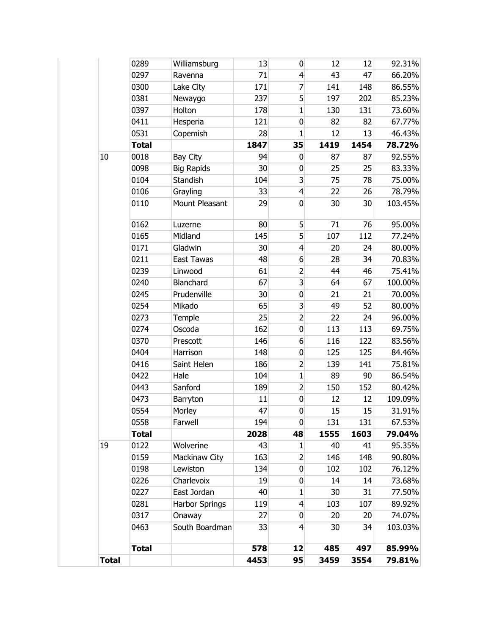|              | 0289         | Williamsburg          | 13   | 0              | 12   | 12   | 92.31%  |
|--------------|--------------|-----------------------|------|----------------|------|------|---------|
|              | 0297         | Ravenna               | 71   | $\overline{4}$ | 43   | 47   | 66.20%  |
|              | 0300         | Lake City             | 171  | $\overline{7}$ | 141  | 148  | 86.55%  |
|              | 0381         | Newaygo               | 237  | 5              | 197  | 202  | 85.23%  |
|              | 0397         | Holton                | 178  | $\mathbf{1}$   | 130  | 131  | 73.60%  |
|              | 0411         | Hesperia              | 121  | $\pmb{0}$      | 82   | 82   | 67.77%  |
|              | 0531         | Copemish              | 28   | $\mathbf{1}$   | 12   | 13   | 46.43%  |
|              | <b>Total</b> |                       | 1847 | 35             | 1419 | 1454 | 78.72%  |
| 10           | 0018         | Bay City              | 94   | 0              | 87   | 87   | 92.55%  |
|              | 0098         | <b>Big Rapids</b>     | 30   | 0              | 25   | 25   | 83.33%  |
|              | 0104         | Standish              | 104  | 3              | 75   | 78   | 75.00%  |
|              | 0106         | Grayling              | 33   | $\overline{4}$ | 22   | 26   | 78.79%  |
|              | 0110         | Mount Pleasant        | 29   | $\mathbf 0$    | 30   | 30   | 103.45% |
|              |              |                       |      |                |      |      |         |
|              | 0162         | Luzerne               | 80   | 5              | 71   | 76   | 95.00%  |
|              | 0165         | Midland               | 145  | 5              | 107  | 112  | 77.24%  |
|              | 0171         | Gladwin               | 30   | $\overline{4}$ | 20   | 24   | 80.00%  |
|              | 0211         | East Tawas            | 48   | 6              | 28   | 34   | 70.83%  |
|              | 0239         | Linwood               | 61   | $\overline{2}$ | 44   | 46   | 75.41%  |
|              | 0240         | Blanchard             | 67   | 3              | 64   | 67   | 100.00% |
|              | 0245         | Prudenville           | 30   | $\pmb{0}$      | 21   | 21   | 70.00%  |
|              | 0254         | Mikado                | 65   | 3              | 49   | 52   | 80.00%  |
|              | 0273         | Temple                | 25   | $\overline{2}$ | 22   | 24   | 96.00%  |
|              | 0274         | Oscoda                | 162  | $\pmb{0}$      | 113  | 113  | 69.75%  |
|              | 0370         | Prescott              | 146  | 6              | 116  | 122  | 83.56%  |
|              | 0404         | Harrison              | 148  | 0              | 125  | 125  | 84.46%  |
|              | 0416         | Saint Helen           | 186  | $\overline{2}$ | 139  | 141  | 75.81%  |
|              | 0422         | Hale                  | 104  | $\mathbf{1}$   | 89   | 90   | 86.54%  |
|              | 0443         | Sanford               | 189  | $\overline{2}$ | 150  | 152  | 80.42%  |
|              | 0473         | Barryton              | 11   | $\mathbf 0$    | 12   | 12   | 109.09% |
|              | 0554         | Morley                | 47   | 0              | 15   | 15   | 31.91%  |
|              | 0558         | Farwell               | 194  | $\overline{0}$ | 131  | 131  | 67.53%  |
|              | <b>Total</b> |                       | 2028 | 48             | 1555 | 1603 | 79.04%  |
| 19           | 0122         | Wolverine             | 43   | 1              | 40   | 41   | 95.35%  |
|              | 0159         | Mackinaw City         | 163  | $\overline{2}$ | 146  | 148  | 90.80%  |
|              | 0198         | Lewiston              | 134  | $\overline{0}$ | 102  | 102  | 76.12%  |
|              | 0226         | Charlevoix            | 19   | 0              | 14   | 14   | 73.68%  |
|              | 0227         | East Jordan           | 40   | 1              | 30   | 31   | 77.50%  |
|              | 0281         | <b>Harbor Springs</b> | 119  | $\overline{4}$ | 103  | 107  | 89.92%  |
|              | 0317         | Onaway                | 27   | $\bf{0}$       | 20   | 20   | 74.07%  |
|              | 0463         | South Boardman        | 33   | $\overline{4}$ | 30   | 34   | 103.03% |
|              |              |                       |      |                |      |      |         |
|              | <b>Total</b> |                       | 578  | 12             | 485  | 497  | 85.99%  |
| <b>Total</b> |              |                       | 4453 | 95             | 3459 | 3554 | 79.81%  |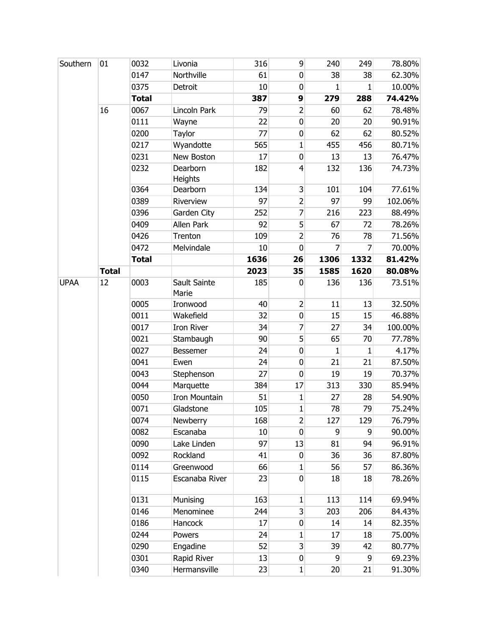| Southern    | 01           | 0032         | Livonia               | 316  | 9                       | 240             | 249          | 78.80%  |
|-------------|--------------|--------------|-----------------------|------|-------------------------|-----------------|--------------|---------|
|             |              | 0147         | Northville            | 61   | $\mathbf 0$             | 38              | 38           | 62.30%  |
|             |              | 0375         | Detroit               | 10   | $\pmb{0}$               | 1               | 1            | 10.00%  |
|             |              | <b>Total</b> |                       | 387  | 9                       | 279             | 288          | 74.42%  |
|             | 16           | 0067         | Lincoln Park          | 79   | $\overline{2}$          | 60              | 62           | 78.48%  |
|             |              | 0111         | Wayne                 | 22   | $\mathbf 0$             | 20              | 20           | 90.91%  |
|             |              | 0200         | Taylor                | 77   | $\mathbf 0$             | 62              | 62           | 80.52%  |
|             |              | 0217         | Wyandotte             | 565  | $\mathbf{1}$            | 455             | 456          | 80.71%  |
|             |              | 0231         | New Boston            | 17   | $\overline{0}$          | 13              | 13           | 76.47%  |
|             |              | 0232         | Dearborn<br>Heights   | 182  | $\overline{4}$          | 132             | 136          | 74.73%  |
|             |              | 0364         | Dearborn              | 134  | $\mathbf{3}$            | 101             | 104          | 77.61%  |
|             |              | 0389         | Riverview             | 97   | $\overline{2}$          | 97              | 99           | 102.06% |
|             |              | 0396         | Garden City           | 252  | $\overline{7}$          | 216             | 223          | 88.49%  |
|             |              | 0409         | Allen Park            | 92   | 5                       | 67              | 72           | 78.26%  |
|             |              | 0426         | Trenton               | 109  | $\overline{2}$          | 76              | 78           | 71.56%  |
|             |              | 0472         | Melvindale            | 10   | $\mathbf 0$             | 7               | 7            | 70.00%  |
|             |              | <b>Total</b> |                       | 1636 | 26                      | 1306            | 1332         | 81.42%  |
|             | <b>Total</b> |              |                       | 2023 | 35                      | 1585            | 1620         | 80.08%  |
| <b>UPAA</b> | 12           | 0003         | Sault Sainte<br>Marie | 185  | $\mathbf 0$             | 136             | 136          | 73.51%  |
|             |              | 0005         | Ironwood              | 40   | $\overline{2}$          | 11              | 13           | 32.50%  |
|             |              | 0011         | Wakefield             | 32   | $\pmb{0}$               | 15              | 15           | 46.88%  |
|             |              | 0017         | <b>Iron River</b>     | 34   | $\overline{7}$          | 27              | 34           | 100.00% |
|             |              | 0021         | Stambaugh             | 90   | 5                       | 65              | 70           | 77.78%  |
|             |              | 0027         | Bessemer              | 24   | $\mathbf 0$             | $\mathbf{1}$    | $\mathbf{1}$ | 4.17%   |
|             |              | 0041         | Ewen                  | 24   | $\mathbf 0$             | 21              | 21           | 87.50%  |
|             |              | 0043         | Stephenson            | 27   | $\mathbf 0$             | 19              | 19           | 70.37%  |
|             |              | 0044         | Marquette             | 384  | 17                      | 313             | 330          | 85.94%  |
|             |              | 0050         | <b>Iron Mountain</b>  | 51   | $\mathbf{1}$            | 27              | 28           | 54.90%  |
|             |              | 0071         | Gladstone             | 105  | $\mathbf{1}$            | 78              | 79           | 75.24%  |
|             |              | 0074         | Newberry              | 168  | $\mathbf{2}$            | 127             | 129          | 76.79%  |
|             |              | 0082         | Escanaba              | 10   | $\mathbf 0$             | $\overline{9}$  | 9            | 90.00%  |
|             |              | 0090         | Lake Linden           | 97   | 13                      | 81              | 94           | 96.91%  |
|             |              | 0092         | Rockland              | 41   | $\mathbf 0$             | 36              | 36           | 87.80%  |
|             |              | 0114         | Greenwood             | 66   | $\mathbf{1}$            | 56              | 57           | 86.36%  |
|             |              | 0115         | Escanaba River        | 23   | $\overline{0}$          | 18              | 18           | 78.26%  |
|             |              | 0131         | Munising              | 163  | $1\vert$                | 113             | 114          | 69.94%  |
|             |              | 0146         | Menominee             | 244  | $\overline{\mathbf{3}}$ | 203             | 206          | 84.43%  |
|             |              | 0186         | Hancock               | 17   | $\boldsymbol{0}$        | 14              | 14           | 82.35%  |
|             |              | 0244         | Powers                | 24   | $\mathbf{1}$            | 17              | 18           | 75.00%  |
|             |              | 0290         | Engadine              | 52   | $\overline{3}$          | 39              | 42           | 80.77%  |
|             |              | 0301         | Rapid River           | 13   | $\boldsymbol{0}$        | 9               | 9            | 69.23%  |
|             |              | 0340         | Hermansville          | 23   | $\mathbf{1}$            | 20 <sup>°</sup> | 21           | 91.30%  |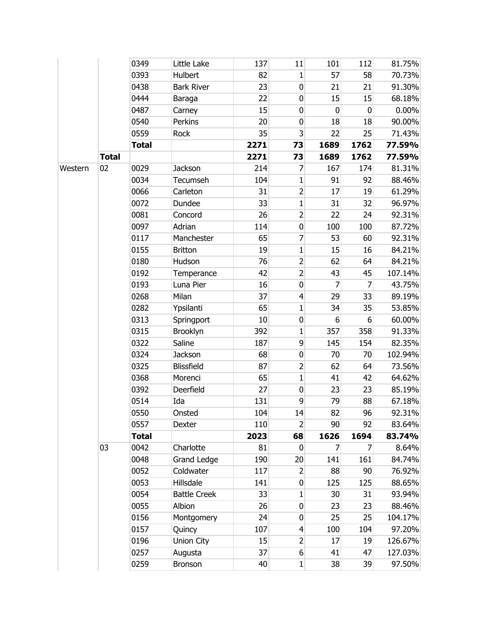|         |              | 0349         | Little Lake         | 137  | 11               | 101            | 112            | 81.75%  |
|---------|--------------|--------------|---------------------|------|------------------|----------------|----------------|---------|
|         |              | 0393         | Hulbert             | 82   | $\mathbf{1}$     | 57             | 58             | 70.73%  |
|         |              | 0438         | <b>Bark River</b>   | 23   | 0                | 21             | 21             | 91.30%  |
|         |              | 0444         | Baraga              | 22   | 0                | 15             | 15             | 68.18%  |
|         |              | 0487         | Carney              | 15   | $\pmb{0}$        | $\pmb{0}$      | $\pmb{0}$      | 0.00%   |
|         |              | 0540         | Perkins             | 20   | $\pmb{0}$        | 18             | 18             | 90.00%  |
|         |              | 0559         | Rock                | 35   | 3                | 22             | 25             | 71.43%  |
|         |              | <b>Total</b> |                     | 2271 | 73               | 1689           | 1762           | 77.59%  |
|         | <b>Total</b> |              |                     | 2271 | 73               | 1689           | 1762           | 77.59%  |
| Western | 02           | 0029         | <b>Jackson</b>      | 214  | 7                | 167            | 174            | 81.31%  |
|         |              | 0034         | Tecumseh            | 104  | $\mathbf{1}$     | 91             | 92             | 88.46%  |
|         |              | 0066         | Carleton            | 31   | $\overline{2}$   | 17             | 19             | 61.29%  |
|         |              | 0072         | Dundee              | 33   | $\mathbf{1}$     | 31             | 32             | 96.97%  |
|         |              | 0081         | Concord             | 26   | $\overline{2}$   | 22             | 24             | 92.31%  |
|         |              | 0097         | Adrian              | 114  | $\pmb{0}$        | 100            | 100            | 87.72%  |
|         |              | 0117         | Manchester          | 65   | 7                | 53             | 60             | 92.31%  |
|         |              | 0155         | <b>Britton</b>      | 19   | $\mathbf 1$      | 15             | 16             | 84.21%  |
|         |              | 0180         | Hudson              | 76   | $\overline{2}$   | 62             | 64             | 84.21%  |
|         |              | 0192         | Temperance          | 42   | $\overline{2}$   | 43             | 45             | 107.14% |
|         |              | 0193         | Luna Pier           | 16   | $\pmb{0}$        | $\overline{7}$ | $\overline{7}$ | 43.75%  |
|         |              | 0268         | Milan               | 37   | 4                | 29             | 33             | 89.19%  |
|         |              | 0282         | Ypsilanti           | 65   | $\mathbf{1}$     | 34             | 35             | 53.85%  |
|         |              | 0313         | Springport          | 10   | 0                | 6              | 6              | 60.00%  |
|         |              | 0315         | Brooklyn            | 392  | $\mathbf{1}$     | 357            | 358            | 91.33%  |
|         |              | 0322         | Saline              | 187  | 9                | 145            | 154            | 82.35%  |
|         |              | 0324         | Jackson             | 68   | $\pmb{0}$        | 70             | 70             | 102.94% |
|         |              | 0325         | Blissfield          | 87   | $\mathbf{Z}$     | 62             | 64             | 73.56%  |
|         |              | 0368         | Morenci             | 65   | $\mathbf{1}$     | 41             | 42             | 64.62%  |
|         |              | 0392         | Deerfield           | 27   | $\pmb{0}$        | 23             | 23             | 85.19%  |
|         |              | 0514         | Ida                 | 131  | 9                | 79             | 88             | 67.18%  |
|         |              | 0550         | Onsted              | 104  | 14               | 82             | 96             | 92.31%  |
|         |              | 0557         | Dexter              | 110  | $\overline{2}$   | 90             | 92             | 83.64%  |
|         |              | <b>Total</b> |                     | 2023 | 68               | 1626           | 1694           | 83.74%  |
|         | 03           | 0042         | Charlotte           | 81   | 0                | 7              | 7              | 8.64%   |
|         |              | 0048         | Grand Ledge         | 190  | 20               | 141            | 161            | 84.74%  |
|         |              | 0052         | Coldwater           | 117  | $\overline{2}$   | 88             | 90             | 76.92%  |
|         |              | 0053         | Hillsdale           | 141  | $\overline{0}$   | 125            | 125            | 88.65%  |
|         |              | 0054         | <b>Battle Creek</b> | 33   | $\mathbf{1}$     | 30             | 31             | 93.94%  |
|         |              | 0055         | Albion              | 26   | 0                | 23             | 23             | 88.46%  |
|         |              | 0156         | Montgomery          | 24   | $\boldsymbol{0}$ | 25             | 25             | 104.17% |
|         |              | 0157         | Quincy              | 107  | $\overline{4}$   | 100            | 104            | 97.20%  |
|         |              | 0196         | Union City          | 15   | $\mathbf{2}$     | 17             | 19             | 126.67% |
|         |              | 0257         | Augusta             | 37   | $6 \overline{6}$ | 41             | 47             | 127.03% |
|         |              | 0259         | Bronson             | 40   | $1\vert$         | 38             | 39             | 97.50%  |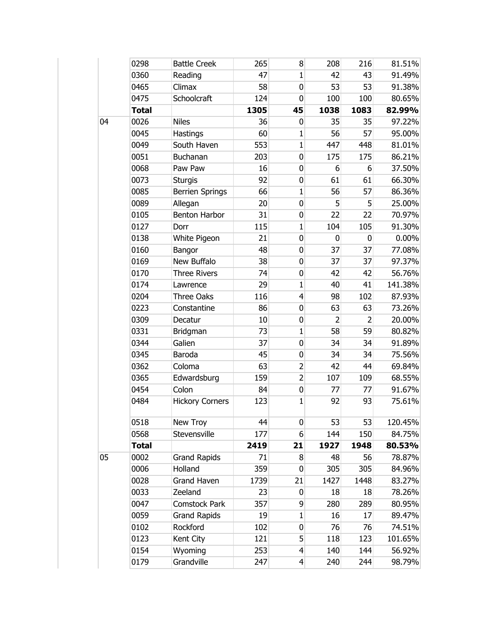|    | 0298         | <b>Battle Creek</b>    | 265  | 8               | 208            | 216            | 81.51%  |
|----|--------------|------------------------|------|-----------------|----------------|----------------|---------|
|    | 0360         | Reading                | 47   | $\mathbf{1}$    | 42             | 43             | 91.49%  |
|    | 0465         | Climax                 | 58   | $\mathbf 0$     | 53             | 53             | 91.38%  |
|    | 0475         | Schoolcraft            | 124  | $\mathbf 0$     | 100            | 100            | 80.65%  |
|    | <b>Total</b> |                        | 1305 | 45              | 1038           | 1083           | 82.99%  |
| 04 | 0026         | <b>Niles</b>           | 36   | $\mathbf 0$     | 35             | 35             | 97.22%  |
|    | 0045         | <b>Hastings</b>        | 60   | $\mathbf{1}$    | 56             | 57             | 95.00%  |
|    | 0049         | South Haven            | 553  | $\mathbf{1}$    | 447            | 448            | 81.01%  |
|    | 0051         | Buchanan               | 203  | $\mathbf 0$     | 175            | 175            | 86.21%  |
|    | 0068         | Paw Paw                | 16   | $\bf{0}$        | 6              | 6              | 37.50%  |
|    | 0073         | <b>Sturgis</b>         | 92   | $\mathbf 0$     | 61             | 61             | 66.30%  |
|    | 0085         | <b>Berrien Springs</b> | 66   | $\mathbf{1}$    | 56             | 57             | 86.36%  |
|    | 0089         | Allegan                | 20   | $\mathbf 0$     | 5 <sup>1</sup> | 5              | 25.00%  |
|    | 0105         | Benton Harbor          | 31   | $\pmb{0}$       | 22             | 22             | 70.97%  |
|    | 0127         | Dorr                   | 115  | $\mathbf{1}$    | 104            | 105            | 91.30%  |
|    | 0138         | White Pigeon           | 21   | $\mathbf 0$     | 0              | $\mathbf 0$    | 0.00%   |
|    | 0160         | Bangor                 | 48   | $\mathbf 0$     | 37             | 37             | 77.08%  |
|    | 0169         | New Buffalo            | 38   | $\mathbf 0$     | 37             | 37             | 97.37%  |
|    | 0170         | <b>Three Rivers</b>    | 74   | $\pmb{0}$       | 42             | 42             | 56.76%  |
|    | 0174         | Lawrence               | 29   | $\mathbf{1}$    | 40             | 41             | 141.38% |
|    | 0204         | Three Oaks             | 116  | $\overline{4}$  | 98             | 102            | 87.93%  |
|    | 0223         | Constantine            | 86   | $\mathbf 0$     | 63             | 63             | 73.26%  |
|    | 0309         | Decatur                | 10   | $\mathbf 0$     | $\overline{2}$ | $\overline{2}$ | 20.00%  |
|    | 0331         | Bridgman               | 73   | $\mathbf{1}$    | 58             | 59             | 80.82%  |
|    | 0344         | Galien                 | 37   | $\mathbf 0$     | 34             | 34             | 91.89%  |
|    | 0345         | Baroda                 | 45   | $\pmb{0}$       | 34             | 34             | 75.56%  |
|    | 0362         | Coloma                 | 63   | $\overline{2}$  | 42             | 44             | 69.84%  |
|    | 0365         | Edwardsburg            | 159  | $\overline{2}$  | 107            | 109            | 68.55%  |
|    | 0454         | Colon                  | 84   | $\pmb{0}$       | 77             | 77             | 91.67%  |
|    | 0484         | <b>Hickory Corners</b> | 123  | $\mathbf{1}$    | 92             | 93             | 75.61%  |
|    | 0518         | New Troy               | 44   | $\bf{0}$        | 53             | 53             | 120.45% |
|    | 0568         | Stevensville           | 177  | 6               | 144            | 150            | 84.75%  |
|    | <b>Total</b> |                        | 2419 | 21              | 1927           | 1948           | 80.53%  |
| 05 | 0002         | <b>Grand Rapids</b>    | 71   | 8               | 48             | 56             | 78.87%  |
|    | 0006         | Holland                | 359  | $\mathbf 0$     | 305            | 305            | 84.96%  |
|    | 0028         | <b>Grand Haven</b>     | 1739 | 21              | 1427           | 1448           | 83.27%  |
|    | 0033         | Zeeland                | 23   | $\overline{0}$  | 18             | 18             | 78.26%  |
|    | 0047         | <b>Comstock Park</b>   | 357  | $\overline{9}$  | 280            | 289            | 80.95%  |
|    | 0059         | <b>Grand Rapids</b>    | 19   | $\mathbf{1}$    | 16             | 17             | 89.47%  |
|    | 0102         | Rockford               | 102  | $\mathbf 0$     | 76             | 76             | 74.51%  |
|    | 0123         | Kent City              | 121  | 5 <sup>1</sup>  | 118            | 123            | 101.65% |
|    | 0154         | Wyoming                | 253  | $\overline{4}$  | 140            | 144            | 56.92%  |
|    | 0179         | Grandville             | 247  | $\vert 4 \vert$ | 240            | 244            | 98.79%  |